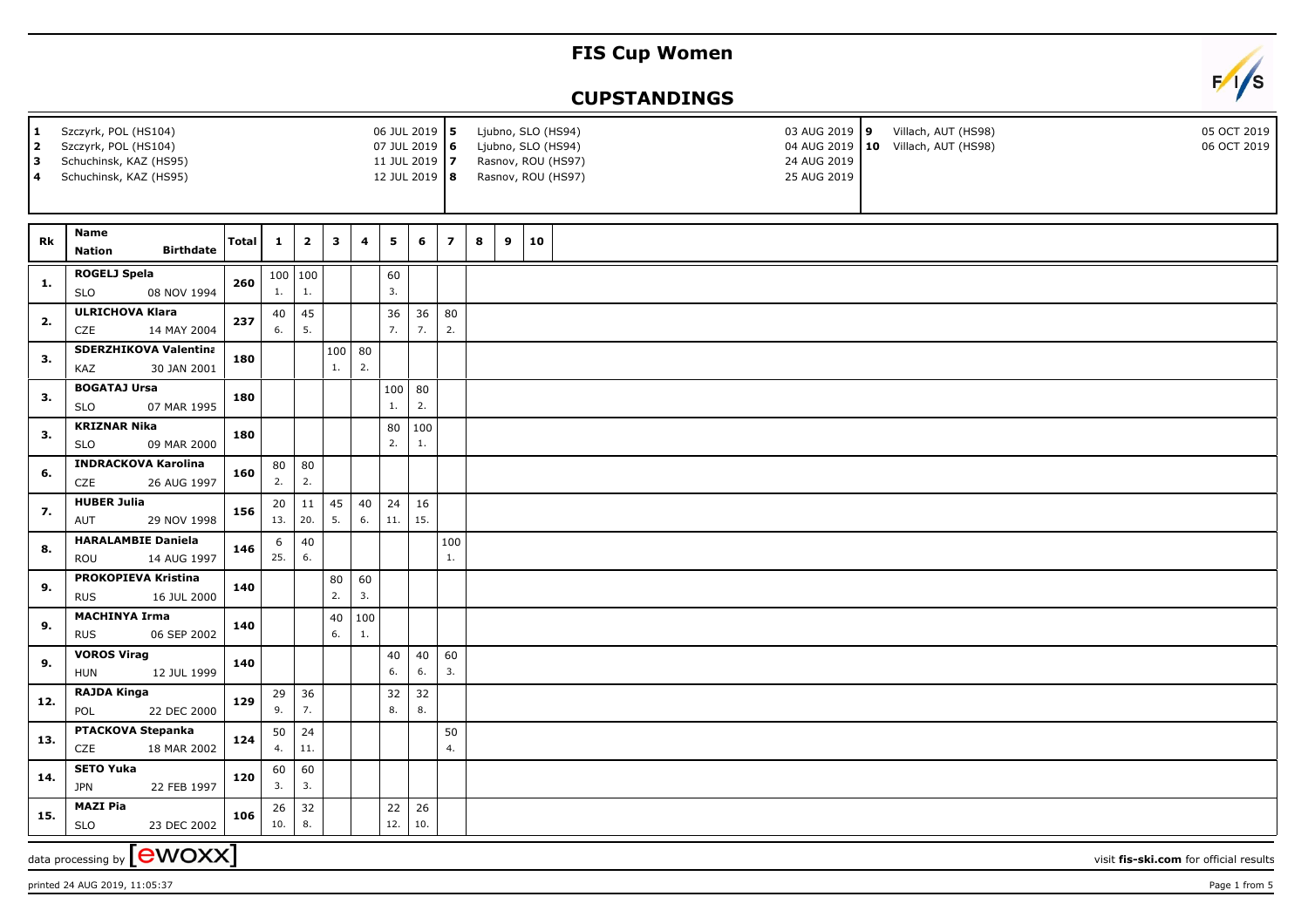## **FIS Cup Women**

## **CUPSTANDINGS**



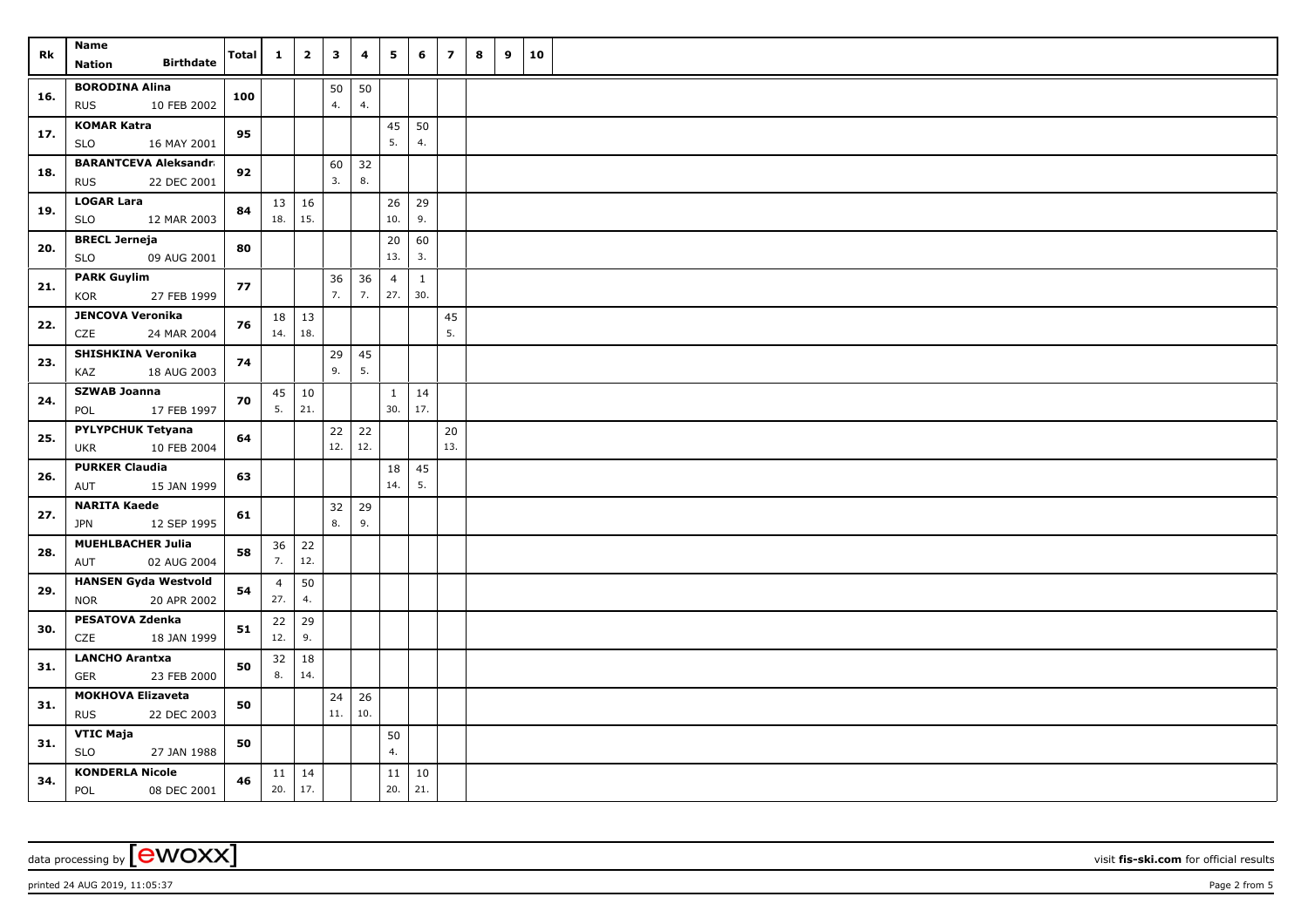| Rk  | Name                                                      | Total | $\mathbf{1}$   | $\overline{\mathbf{2}}$ | $\overline{\mathbf{3}}$ | 4         | 5              | 6        | $\overline{7}$ | 8 | 9 | 10 |  |
|-----|-----------------------------------------------------------|-------|----------------|-------------------------|-------------------------|-----------|----------------|----------|----------------|---|---|----|--|
|     | <b>Birthdate</b><br>Nation                                |       |                |                         |                         |           |                |          |                |   |   |    |  |
| 16. | <b>BORODINA Alina</b>                                     | 100   |                |                         | 50                      | 50        |                |          |                |   |   |    |  |
|     | <b>RUS</b><br>10 FEB 2002                                 |       |                |                         | 4.                      | 4.        |                |          |                |   |   |    |  |
| 17. | <b>KOMAR Katra</b>                                        | 95    |                |                         |                         |           | 45<br>5.       | 50<br>4. |                |   |   |    |  |
|     | <b>SLO</b><br>16 MAY 2001<br><b>BARANTCEVA Aleksandra</b> |       |                |                         |                         |           |                |          |                |   |   |    |  |
| 18. | <b>RUS</b><br>22 DEC 2001                                 | 92    |                |                         | 60<br>3.                | 32<br>8.  |                |          |                |   |   |    |  |
|     | <b>LOGAR Lara</b>                                         |       |                | $13 \mid 16$            |                         |           | 26             | 29       |                |   |   |    |  |
| 19. | <b>SLO</b><br>12 MAR 2003                                 | 84    | 18.            | 15.                     |                         |           | 10.            | 9.       |                |   |   |    |  |
| 20. | <b>BRECL Jerneja</b>                                      | 80    |                |                         |                         |           | 20             | 60       |                |   |   |    |  |
|     | <b>SLO</b><br>09 AUG 2001                                 |       |                |                         |                         |           | 13.            | 3.       |                |   |   |    |  |
| 21. | <b>PARK Guylim</b>                                        | 77    |                |                         | 36                      | 36        | $\overline{4}$ | 1        |                |   |   |    |  |
|     | KOR<br>27 FEB 1999                                        |       |                |                         | 7.                      | 7.        | 27.            | 30.      |                |   |   |    |  |
| 22. | <b>JENCOVA Veronika</b><br>24 MAR 2004<br>CZE             | 76    | 18<br>14.      | 13<br>18.               |                         |           |                |          | 45<br>5.       |   |   |    |  |
|     | SHISHKINA Veronika                                        |       |                |                         | 29                      | 45        |                |          |                |   |   |    |  |
| 23. | KAZ<br>18 AUG 2003                                        | 74    |                |                         | 9.                      | 5.        |                |          |                |   |   |    |  |
|     | <b>SZWAB Joanna</b>                                       |       | 45             | 10                      |                         |           | $\mathbf{1}$   | 14       |                |   |   |    |  |
| 24. | 17 FEB 1997<br>POL                                        | 70    | 5.             | 21.                     |                         |           | 30.            | 17.      |                |   |   |    |  |
| 25. | <b>PYLYPCHUK Tetyana</b>                                  | 64    |                |                         | 22                      | 22        |                |          | 20             |   |   |    |  |
|     | 10 FEB 2004<br><b>UKR</b>                                 |       |                |                         | 12.                     | 12.       |                |          | 13.            |   |   |    |  |
| 26. | <b>PURKER Claudia</b>                                     | 63    |                |                         |                         |           | 18             | 45       |                |   |   |    |  |
|     | AUT<br>15 JAN 1999                                        |       |                |                         |                         |           | 14.            | 5.       |                |   |   |    |  |
| 27. | <b>NARITA Kaede</b><br><b>JPN</b><br>12 SEP 1995          | 61    |                |                         | 32<br>8.                | 29<br>9.  |                |          |                |   |   |    |  |
|     | MUEHLBACHER Julia                                         |       |                |                         |                         |           |                |          |                |   |   |    |  |
| 28. | 02 AUG 2004<br>AUT                                        | 58    | 36<br>7.       | 22<br>12.               |                         |           |                |          |                |   |   |    |  |
|     | <b>HANSEN Gyda Westvold</b>                               |       | $\overline{4}$ | 50                      |                         |           |                |          |                |   |   |    |  |
| 29. | 20 APR 2002<br>NOR                                        | 54    | 27.            | 4.                      |                         |           |                |          |                |   |   |    |  |
| 30. | <b>PESATOVA Zdenka</b>                                    | 51    | 22             | 29                      |                         |           |                |          |                |   |   |    |  |
|     | CZE<br>18 JAN 1999                                        |       | 12.            | 9.                      |                         |           |                |          |                |   |   |    |  |
| 31. | <b>LANCHO Arantxa</b>                                     | 50    | 32             | 18                      |                         |           |                |          |                |   |   |    |  |
|     | 23 FEB 2000<br>GER                                        |       | 8.             | 14.                     |                         |           |                |          |                |   |   |    |  |
| 31. | <b>MOKHOVA Elizaveta</b><br><b>RUS</b><br>22 DEC 2003     | 50    |                |                         | 24<br>$11.$             | 26<br>10. |                |          |                |   |   |    |  |
|     | <b>VTIC Maja</b>                                          |       |                |                         |                         |           | 50             |          |                |   |   |    |  |
| 31. | <b>SLO</b><br>27 JAN 1988                                 | 50    |                |                         |                         |           | 4.             |          |                |   |   |    |  |
|     | <b>KONDERLA Nicole</b>                                    |       |                | $11 \mid 14$            |                         |           | 11             | 10       |                |   |   |    |  |
| 34. | POL<br>08 DEC 2001                                        | 46    | 20.            | 17.                     |                         |           | 20.            | 21.      |                |   |   |    |  |

printed 24 AUG 2019, 11:05:37 Page 2 from 5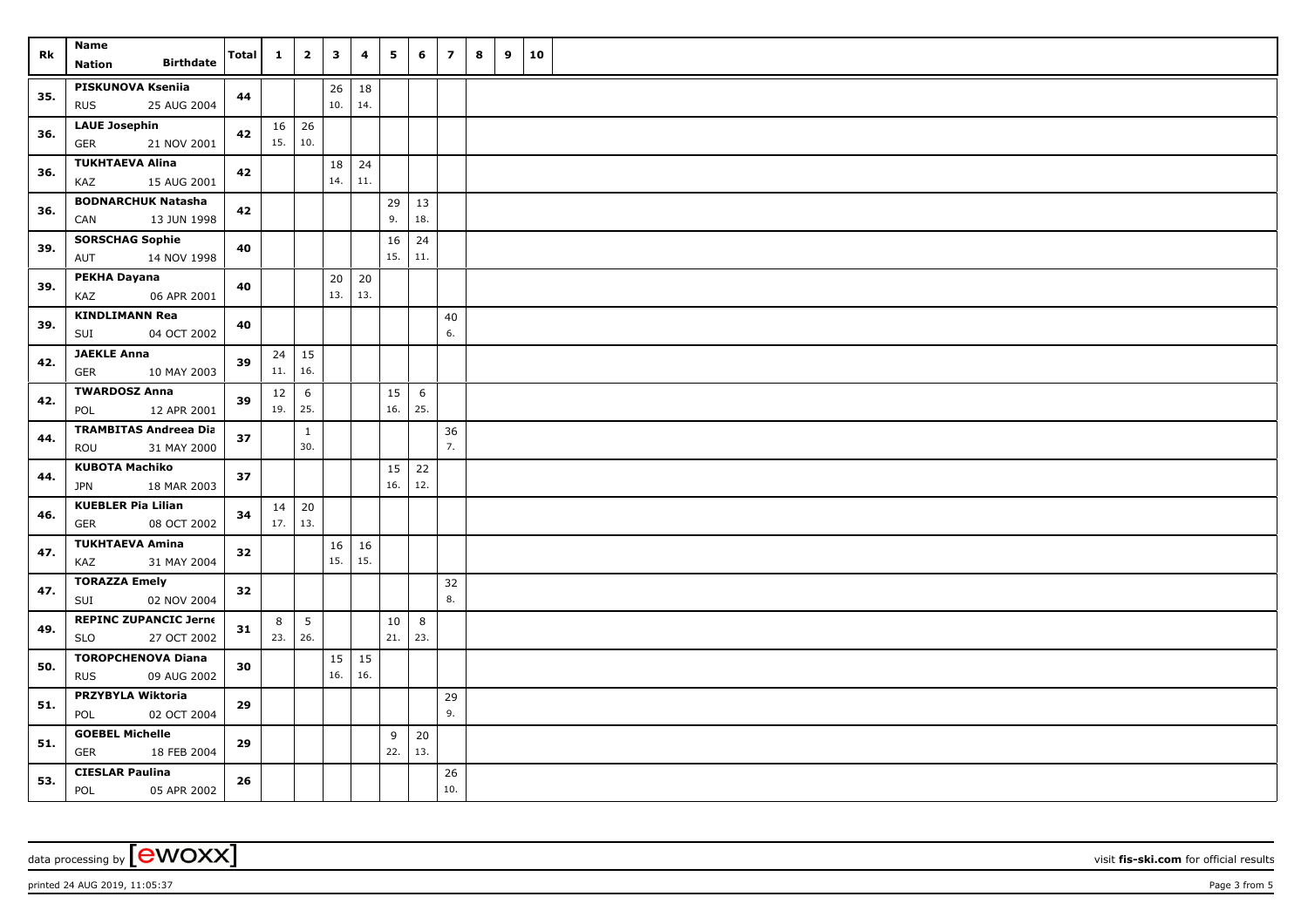| Rk  | Name                                                | Total | $\mathbf{1}$              | $\overline{2}$      | $\overline{\mathbf{3}}$ | 4         | 5        | 6              | $\overline{ }$ | 8 | 9 | 10 |  |
|-----|-----------------------------------------------------|-------|---------------------------|---------------------|-------------------------|-----------|----------|----------------|----------------|---|---|----|--|
|     | <b>Birthdate</b><br>Nation                          |       |                           |                     |                         |           |          |                |                |   |   |    |  |
| 35. | <b>PISKUNOVA Kseniia</b>                            | 44    |                           |                     | 26                      | 18        |          |                |                |   |   |    |  |
|     | <b>RUS</b><br>25 AUG 2004                           |       |                           |                     | 10.                     | 14.       |          |                |                |   |   |    |  |
| 36. | <b>LAUE Josephin</b>                                | 42    | 15.                       | $16 \mid 26$<br>10. |                         |           |          |                |                |   |   |    |  |
|     | <b>GER</b><br>21 NOV 2001<br><b>TUKHTAEVA Alina</b> |       |                           |                     |                         |           |          |                |                |   |   |    |  |
| 36. | KAZ<br>15 AUG 2001                                  | 42    |                           |                     | 18<br>14.               | 24<br>11. |          |                |                |   |   |    |  |
|     | <b>BODNARCHUK Natasha</b>                           |       |                           |                     |                         |           | 29       | 13             |                |   |   |    |  |
| 36. | CAN<br>13 JUN 1998                                  | 42    |                           |                     |                         |           | 9.       | 18.            |                |   |   |    |  |
| 39. | <b>SORSCHAG Sophie</b>                              | 40    |                           |                     |                         |           | 16       | 24             |                |   |   |    |  |
|     | AUT<br>14 NOV 1998                                  |       |                           |                     |                         |           | 15.      | 11.            |                |   |   |    |  |
| 39. | PEKHA Dayana                                        | 40    |                           |                     | 20                      | 20        |          |                |                |   |   |    |  |
|     | KAZ<br>06 APR 2001                                  |       |                           |                     | 13.                     | 13.       |          |                |                |   |   |    |  |
| 39. | <b>KINDLIMANN Rea</b>                               | 40    |                           |                     |                         |           |          |                | 40<br>6.       |   |   |    |  |
|     | 04 OCT 2002<br>SUI<br><b>JAEKLE Anna</b>            |       |                           |                     |                         |           |          |                |                |   |   |    |  |
| 42. | <b>GER</b><br>10 MAY 2003                           | 39    | 24<br>11.                 | 15<br>16.           |                         |           |          |                |                |   |   |    |  |
|     | <b>TWARDOSZ Anna</b>                                |       | 12                        | 6                   |                         |           | 15       | 6              |                |   |   |    |  |
| 42. | POL<br>12 APR 2001                                  | 39    | 19.                       | 25.                 |                         |           | 16.      | 25.            |                |   |   |    |  |
| 44. | <b>TRAMBITAS Andreea Dia</b>                        |       |                           | $\mathbf{1}$        |                         |           |          |                | 36             |   |   |    |  |
|     | ROU<br>31 MAY 2000                                  | 37    |                           | 30.                 |                         |           |          |                | 7.             |   |   |    |  |
| 44. | <b>KUBOTA Machiko</b>                               | 37    |                           |                     |                         |           | 15       | 22             |                |   |   |    |  |
|     | <b>JPN</b><br>18 MAR 2003                           |       |                           |                     |                         |           | 16.      | 12.            |                |   |   |    |  |
| 46. | <b>KUEBLER Pia Lilian</b>                           | 34    | $14 \mid 20$<br>$17.$ 13. |                     |                         |           |          |                |                |   |   |    |  |
|     | 08 OCT 2002<br><b>GER</b>                           |       |                           |                     |                         |           |          |                |                |   |   |    |  |
| 47. | <b>TUKHTAEVA Amina</b><br>31 MAY 2004<br>KAZ        | 32    |                           |                     | 16<br>15.               | 16<br>15. |          |                |                |   |   |    |  |
|     | <b>TORAZZA Emely</b>                                |       |                           |                     |                         |           |          |                | 32             |   |   |    |  |
| 47. | 02 NOV 2004<br>SUI                                  | 32    |                           |                     |                         |           |          |                | 8.             |   |   |    |  |
| 49. | <b>REPINC ZUPANCIC Jerne</b>                        |       | 8                         | $5\phantom{.0}$     |                         |           | $10\,$   | $8\phantom{1}$ |                |   |   |    |  |
|     | <b>SLO</b><br>27 OCT 2002                           | 31    | 23.                       | 26.                 |                         |           | 21.      | 23.            |                |   |   |    |  |
| 50. | <b>TOROPCHENOVA Diana</b>                           | 30    |                           |                     | 15                      | 15        |          |                |                |   |   |    |  |
|     | 09 AUG 2002<br><b>RUS</b>                           |       |                           |                     | 16.                     | 16.       |          |                |                |   |   |    |  |
| 51. | PRZYBYLA Wiktoria                                   | 29    |                           |                     |                         |           |          |                | 29<br>9.       |   |   |    |  |
|     | 02 OCT 2004<br>POL<br><b>GOEBEL Michelle</b>        |       |                           |                     |                         |           |          |                |                |   |   |    |  |
| 51. | GER<br>18 FEB 2004                                  | 29    |                           |                     |                         |           | 9<br>22. | 20<br>13.      |                |   |   |    |  |
|     | <b>CIESLAR Paulina</b>                              |       |                           |                     |                         |           |          |                | 26             |   |   |    |  |
| 53. | POL<br>05 APR 2002                                  | 26    |                           |                     |                         |           |          |                | 10.            |   |   |    |  |

printed 24 AUG 2019, 11:05:37 Page 3 from 5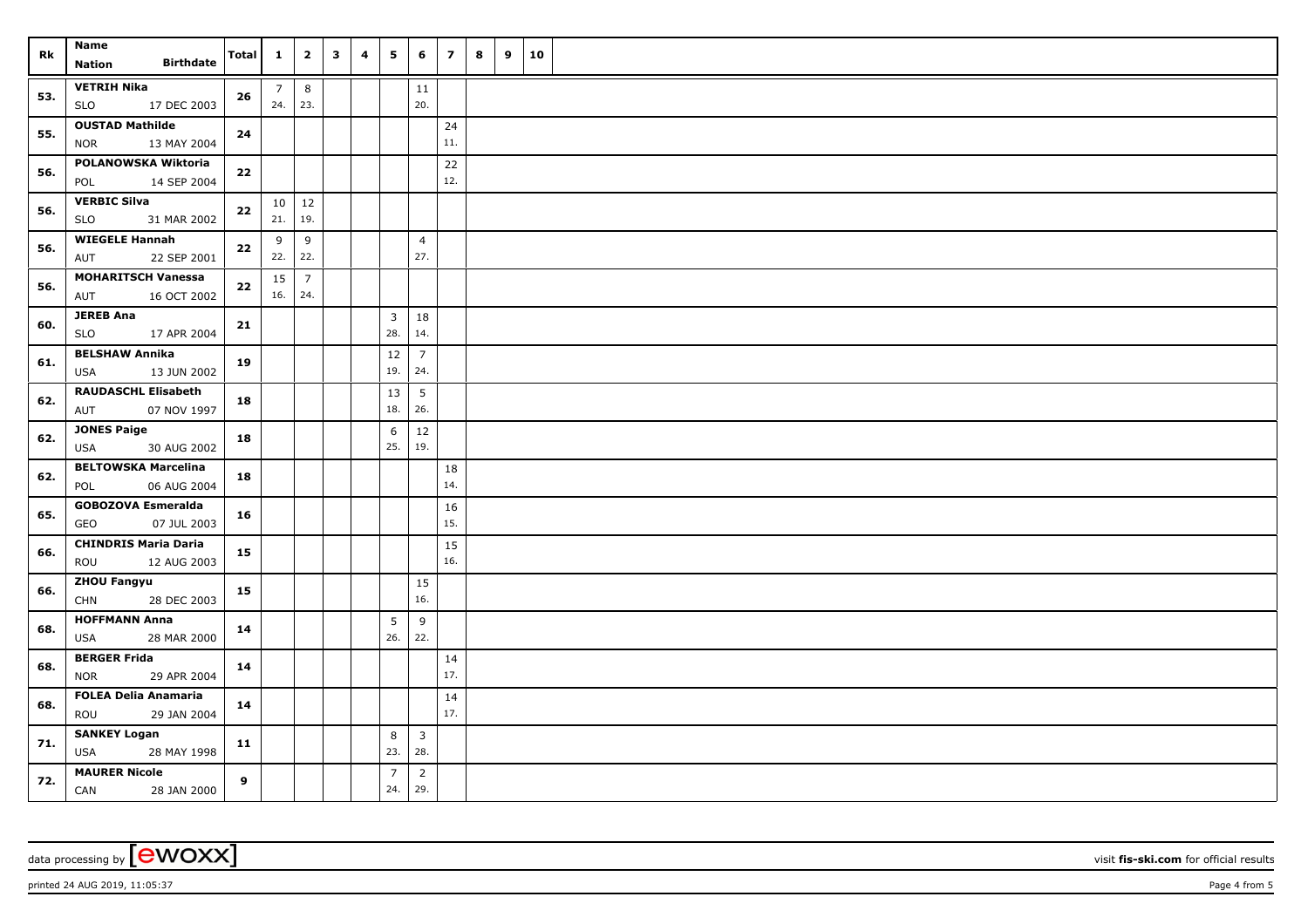| Rk  | <b>Name</b>                                      | Total | $\mathbf{1}$   | $\overline{\mathbf{2}}$ | $\mathbf{3}$ | 4 | 5              | 6                     | $\overline{z}$ | 8 | 9 | 10 |  |
|-----|--------------------------------------------------|-------|----------------|-------------------------|--------------|---|----------------|-----------------------|----------------|---|---|----|--|
|     | <b>Birthdate</b><br><b>Nation</b>                |       |                |                         |              |   |                |                       |                |   |   |    |  |
| 53. | <b>VETRIH Nika</b>                               | 26    | $\overline{7}$ | 8                       |              |   |                | 11                    |                |   |   |    |  |
|     | <b>SLO</b><br>17 DEC 2003                        |       | 24.            | 23.                     |              |   |                | 20.                   |                |   |   |    |  |
| 55. | <b>OUSTAD Mathilde</b>                           | 24    |                |                         |              |   |                |                       | 24             |   |   |    |  |
|     | <b>NOR</b><br>13 MAY 2004                        |       |                |                         |              |   |                |                       | 11.            |   |   |    |  |
| 56. | POLANOWSKA Wiktoria                              | 22    |                |                         |              |   |                |                       | 22             |   |   |    |  |
|     | POL<br>14 SEP 2004                               |       |                |                         |              |   |                |                       | 12.            |   |   |    |  |
| 56. | <b>VERBIC Silva</b><br><b>SLO</b><br>31 MAR 2002 | 22    | 21.            | $10 \mid 12$<br>19.     |              |   |                |                       |                |   |   |    |  |
|     | <b>WIEGELE Hannah</b>                            |       | 9              | 9                       |              |   |                | $\overline{4}$        |                |   |   |    |  |
| 56. | AUT<br>22 SEP 2001                               | 22    | 22.            | 22.                     |              |   |                | 27.                   |                |   |   |    |  |
|     | <b>MOHARITSCH Vanessa</b>                        |       | 15             | $\overline{7}$          |              |   |                |                       |                |   |   |    |  |
| 56. | AUT<br>16 OCT 2002                               | 22    | 16.            | 24.                     |              |   |                |                       |                |   |   |    |  |
|     | <b>JEREB Ana</b>                                 |       |                |                         |              |   | $\mathbf{3}$   | 18                    |                |   |   |    |  |
| 60. | <b>SLO</b><br>17 APR 2004                        | 21    |                |                         |              |   | 28.            | 14.                   |                |   |   |    |  |
| 61. | <b>BELSHAW Annika</b>                            | 19    |                |                         |              |   | 12             | $\overline{7}$        |                |   |   |    |  |
|     | USA<br>13 JUN 2002                               |       |                |                         |              |   | 19.            | 24.                   |                |   |   |    |  |
| 62. | <b>RAUDASCHL Elisabeth</b>                       | 18    |                |                         |              |   | 13             | 5                     |                |   |   |    |  |
|     | AUT<br>07 NOV 1997                               |       |                |                         |              |   | 18.            | 26.                   |                |   |   |    |  |
| 62. | <b>JONES Paige</b>                               | 18    |                |                         |              |   | $\,$ 6 $\,$    | 12                    |                |   |   |    |  |
|     | USA<br>30 AUG 2002                               |       |                |                         |              |   | 25.            | 19.                   |                |   |   |    |  |
| 62. | <b>BELTOWSKA Marcelina</b>                       | 18    |                |                         |              |   |                |                       | 18<br>14.      |   |   |    |  |
|     | 06 AUG 2004<br>POL                               |       |                |                         |              |   |                |                       |                |   |   |    |  |
| 65. | <b>GOBOZOVA Esmeralda</b><br>GEO<br>07 JUL 2003  | 16    |                |                         |              |   |                |                       | 16<br>15.      |   |   |    |  |
|     | <b>CHINDRIS Maria Daria</b>                      |       |                |                         |              |   |                |                       | 15             |   |   |    |  |
| 66. | ROU<br>12 AUG 2003                               | 15    |                |                         |              |   |                |                       | 16.            |   |   |    |  |
|     | <b>ZHOU Fangyu</b>                               |       |                |                         |              |   |                | 15                    |                |   |   |    |  |
| 66. | <b>CHN</b><br>28 DEC 2003                        | 15    |                |                         |              |   |                | 16.                   |                |   |   |    |  |
| 68. | <b>HOFFMANN Anna</b>                             | 14    |                |                         |              |   | 5              | 9                     |                |   |   |    |  |
|     | USA<br>28 MAR 2000                               |       |                |                         |              |   | 26.            | 22.                   |                |   |   |    |  |
| 68. | <b>BERGER Frida</b>                              | 14    |                |                         |              |   |                |                       | 14             |   |   |    |  |
|     | <b>NOR</b><br>29 APR 2004                        |       |                |                         |              |   |                |                       | 17.            |   |   |    |  |
| 68. | <b>FOLEA Delia Anamaria</b>                      | 14    |                |                         |              |   |                |                       | 14             |   |   |    |  |
|     | ROU<br>29 JAN 2004                               |       |                |                         |              |   |                |                       | 17.            |   |   |    |  |
| 71. | <b>SANKEY Logan</b><br><b>USA</b><br>28 MAY 1998 | 11    |                |                         |              |   | 8<br>23.       | $\overline{3}$<br>28. |                |   |   |    |  |
|     | <b>MAURER Nicole</b>                             |       |                |                         |              |   | $\overline{7}$ | $\overline{2}$        |                |   |   |    |  |
| 72. |                                                  |       |                |                         |              |   |                |                       |                |   |   |    |  |

data processing by **CWOXX** visit **fis-ski.com** for official results

printed 24 AUG 2019, 11:05:37 Page 4 from 5